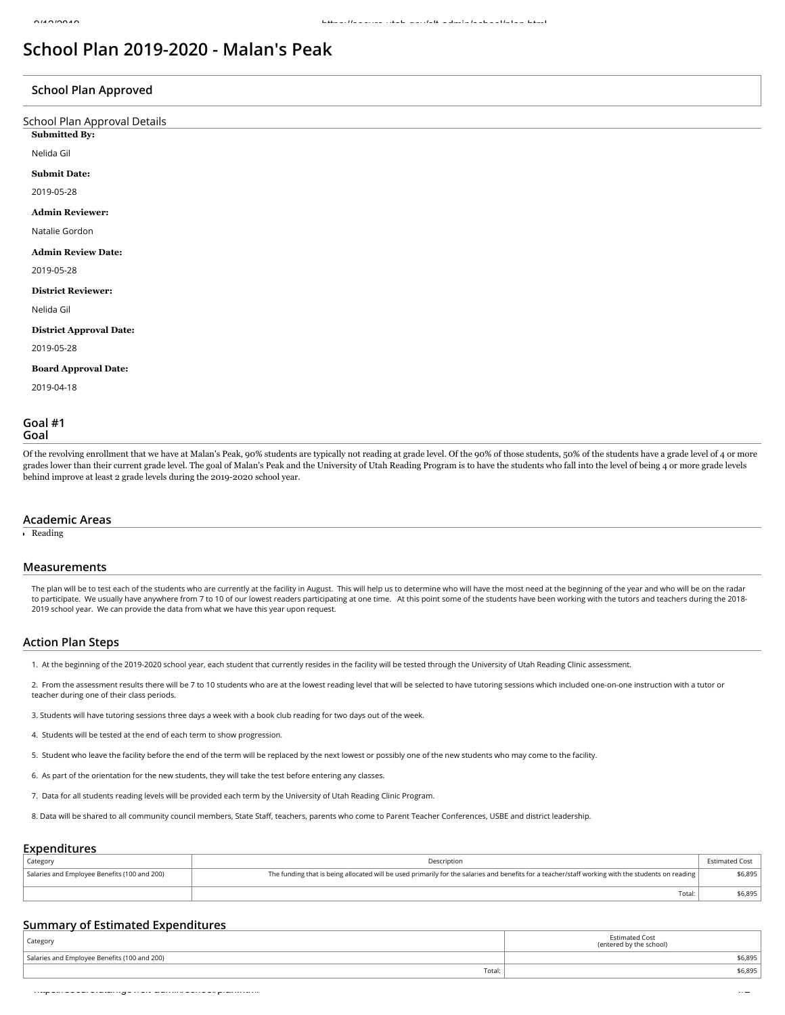# **School Plan 2019-2020 - Malan's Peak**

## **School Plan Approved**

| . .                          |
|------------------------------|
| School Plan Approval Details |
| <b>Submitted By:</b>         |
| Nelida Gil                   |
| <b>Submit Date:</b>          |
| 2019-05-28                   |
| <b>Admin Reviewer:</b>       |
| Natalie Gordon               |
| <b>Admin Review Date:</b>    |
| 2019-05-28                   |
| <b>District Reviewer:</b>    |
| Nelida Gil                   |

## **District Approval Date:**

2019-05-28

#### **Board Approval Date:**

2019-04-18

## **Goal #1 Goal**

Of the revolving enrollment that we have at Malan's Peak, 90% students are typically not reading at grade level. Of the 90% of those students, 50% of the students have a grade level of 4 or more grades lower than their current grade level. The goal of Malan's Peak and the University of Utah Reading Program is to have the students who fall into the level of being 4 or more grade levels behind improve at least 2 grade levels during the 2019-2020 school year.

#### **Academic Areas**

Reading

#### **Measurements**

The plan will be to test each of the students who are currently at the facility in August. This will help us to determine who will have the most need at the beginning of the year and who will be on the radar to participate. We usually have anywhere from 7 to 10 of our lowest readers participating at one time. At this point some of the students have been working with the tutors and teachers during the 2018- 2019 school year. We can provide the data from what we have this year upon request.

#### **Action Plan Steps**

1. At the beginning of the 2019-2020 school year, each student that currently resides in the facility will be tested through the University of Utah Reading Clinic assessment.

2. From the assessment results there will be 7 to 10 students who are at the lowest reading level that will be selected to have tutoring sessions which included one-on-one instruction with a tutor or teacher during one of their class periods.

3. Students will have tutoring sessions three days a week with a book club reading for two days out of the week.

4. Students will be tested at the end of each term to show progression.

5. Student who leave the facility before the end of the term will be replaced by the next lowest or possibly one of the new students who may come to the facility.

6. As part of the orientation for the new students, they will take the test before entering any classes.

7. Data for all students reading levels will be provided each term by the University of Utah Reading Clinic Program.

8. Data will be shared to all community council members, State Staff, teachers, parents who come to Parent Teacher Conferences, USBE and district leadership.

## **Expenditures**

| Category                                     | Description                                                                                                                                       | Estimated Cost |
|----------------------------------------------|---------------------------------------------------------------------------------------------------------------------------------------------------|----------------|
| Salaries and Employee Benefits (100 and 200) | The funding that is being allocated will be used primarily for the salaries and benefits for a teacher/staff working with the students on reading | \$6,895        |
|                                              | Total:                                                                                                                                            | \$6,895        |

## **Summary of Estimated Expenditures**

| Category                                     | <b>Estimated Cost</b><br>(entered by the school) |
|----------------------------------------------|--------------------------------------------------|
| Salaries and Employee Benefits (100 and 200) | \$6,895                                          |
| Total:                                       | \$6,895                                          |